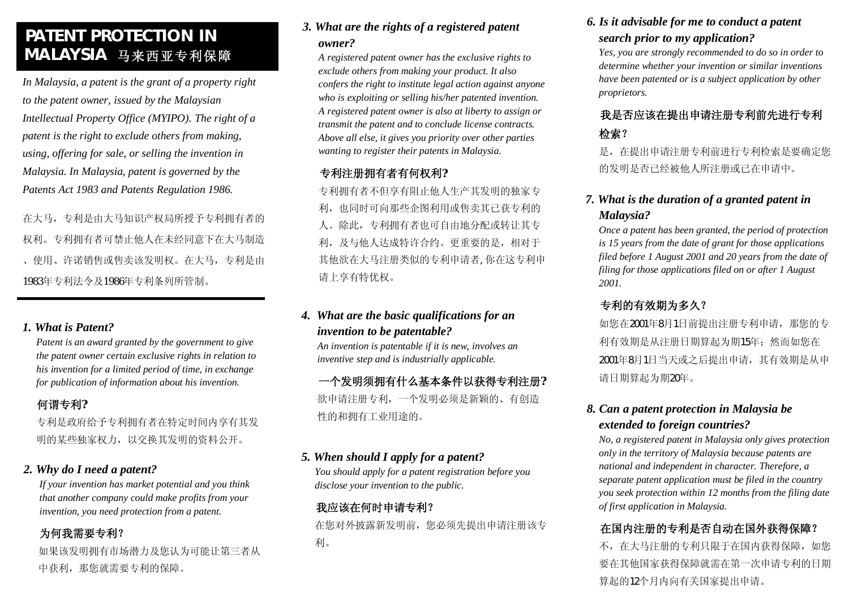# **PATENT PROTECTION IN MALAYSIA 马来西亚专利保障**

*In Malaysia, a patent is the grant of a property right to the patent owner, issued by the Malaysian Intellectual Property Office (MYIPO). The right of a patent is the right to exclude others from making, using, offering for sale, or selling the invention in Malaysia. In Malaysia, patent is governed by the Patents Act 1983 and Patents Regulation 1986.*

在大马,专利是由大马知识产权局所授予专利拥有者的 权利。专利拥有者可禁止他人在未经同意下在大马制造 、使用、许诺销售或售卖该发明权。在大马,专利是由 1983年专利法令及1986年专利条列所管制。

#### *1. What is Patent?*

*Patent is an award granted by the government to give the patent owner certain exclusive rights in relation to his invention for a limited period of time, in exchange for publication of information about his invention.*

## **何谓专利?**

专利是政府给予专利拥有者在特定时间内享有其发 明的某些独家权力,以交换其发明的资料公开。

#### *2. Why do I need a patent?*

*If your invention has market potential and you think that another company could make profits from your invention, you need protection from a patent.* 

## **为何我需要专利?**

如果该发明拥有市场潜力及您认为可能让第三者从 中获利,那您就需要专利的保障。

## *3. What are the rights of a registered patent owner?*

*A registered patent owner has the exclusive rights to exclude others from making your product. It also confers the right to institute legal action against anyone who is exploiting or selling his/her patented invention. A registered patent owner is also at liberty to assign or transmit the patent and to conclude license contracts. Above all else, it gives you priority over other parties wanting to register their patents in Malaysia.* 

## **专利注册拥有者有何权利?**

专利拥有者不但享有阻止他人生产其发明的独家专 利,也同时可向那些企图利用或售卖其已获专利的 人。除此,专利拥有者也可自由地分配或转让其专 利,及与他人达成特许合约。更重要的是,相对于 其他欲在大马注册类似的专利申请者,你在这专利申 请上享有特优权。

## *4. What are the basic qualifications for an invention to be patentable?*

*An invention is patentable if it is new, involves an inventive step and is industrially applicable.*

**一个发明须拥有什么基本条件以获得专利注册?**  欲申请注册专利,一个发明必须是新颖的、有创造 性的和拥有工业用途的。

#### *5. When should I apply for a patent?*

*You should apply for a patent registration before you disclose your invention to the public.*

## **我应该在何时申请专利?**

在您对外披露新发明前,您必须先提出申请注册该专 利。

## *6. Is it advisable for me to conduct a patent search prior to my application?*

*Yes, you are strongly recommended to do so in order to determine whether your invention or similar inventions have been patented or is a subject application by other proprietors.* 

## **我是否应该在提出申请注册专利前先进行专利 检索?**

是,在提出申请注册专利前进行专利检索是要确定您 的发明是否已经被他人所注册或已在申请中。

## *7. What is the duration of a granted patent in Malaysia?*

*Once a patent has been granted, the period of protection is 15 years from the date of grant for those applications filed before 1 August 2001 and 20 years from the date of filing for those applications filed on or after 1 August 2001.*

## **专利的有效期为多久?**

如您在2001年8月1日前提出注册专利申请,那您的专 利有效期是从注册日期算起为期15年;然而如您在 2001年8月1日当天或之后提出申请,其有效期是从申 请日期算起为期20年。

## *8. Can a patent protection in Malaysia be extended to foreign countries?*

*No, a registered patent in Malaysia only gives protection only in the territory of Malaysia because patents are national and independent in character. Therefore, a separate patent application must be filed in the country you seek protection within 12 months from the filing date of first application in Malaysia.*

## **在国内注册的专利是否自动在国外获得保障?**

不,在大马注册的专利只限于在国内获得保障,如您 要在其他国家获得保障就需在第一次申请专利的日期 算起的12个月内向有关国家提出申请。